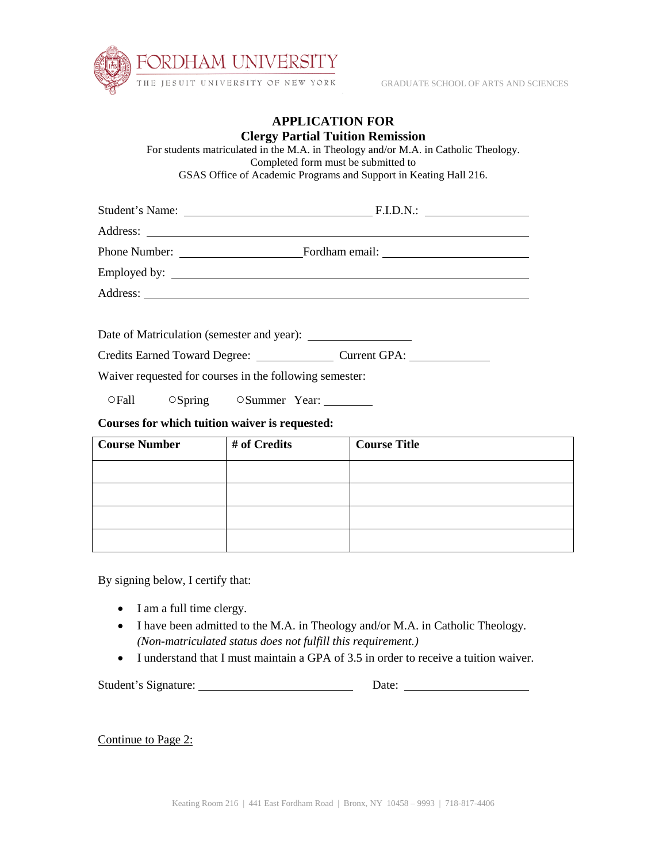

GRADUATE SCHOOL OF ARTS AND SCIENCES

## **APPLICATION FOR Clergy Partial Tuition Remission**

For students matriculated in the M.A. in Theology and/or M.A. in Catholic Theology. Completed form must be submitted to GSAS Office of Academic Programs and Support in Keating Hall 216.

| Course Number # of Credits                              |                                    |                             |  | <b>Course Title</b> |  |  |
|---------------------------------------------------------|------------------------------------|-----------------------------|--|---------------------|--|--|
| Courses for which tuition waiver is requested:          |                                    |                             |  |                     |  |  |
|                                                         |                                    | OFall OSpring OSummer Year: |  |                     |  |  |
| Waiver requested for courses in the following semester: |                                    |                             |  |                     |  |  |
|                                                         |                                    |                             |  |                     |  |  |
|                                                         |                                    |                             |  |                     |  |  |
|                                                         |                                    |                             |  |                     |  |  |
|                                                         |                                    |                             |  |                     |  |  |
|                                                         |                                    |                             |  |                     |  |  |
|                                                         |                                    |                             |  |                     |  |  |
|                                                         |                                    |                             |  |                     |  |  |
|                                                         | Student's Name: F.I.D.N.: FILD.N.: |                             |  |                     |  |  |

| <b>Course Number</b> | # of Credits | Course Title |
|----------------------|--------------|--------------|
|                      |              |              |
|                      |              |              |
|                      |              |              |
|                      |              |              |

By signing below, I certify that:

- I am a full time clergy.
- I have been admitted to the M.A. in Theology and/or M.A. in Catholic Theology. *(Non-matriculated status does not fulfill this requirement.)*
- I understand that I must maintain a GPA of 3.5 in order to receive a tuition waiver.

Student's Signature: Date:

Continue to Page 2: